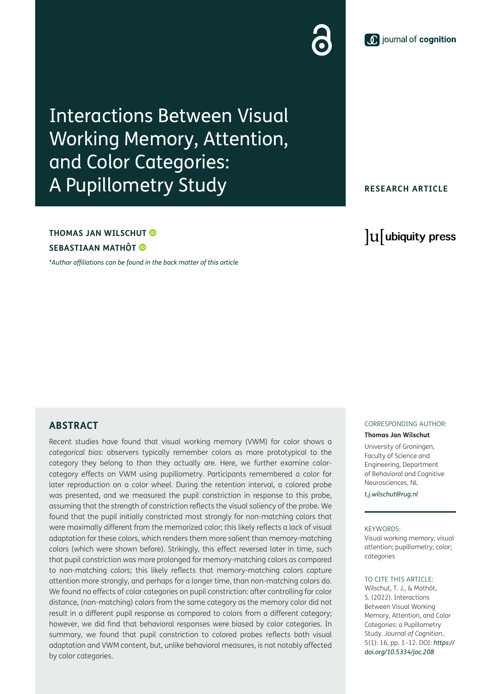## Interactions Between Visual Working Memory, Attention, and Color Categories: A Pupillometry Study

**THOMAS JAN WILSCHUT SEBASTIAAN MATHÔT**

*[\\*Author affiliations can be found in the back matter of this article](#page-9-0)*

**RESEARCH ARTICLE**

### lu ubiquity press

#### **ABSTRACT**

Recent studies have found that visual working memory (VWM) for color shows a *categorical bias*: observers typically remember colors as more prototypical to the category they belong to than they actually are. Here, we further examine colorcategory effects on VWM using pupillometry. Participants remembered a color for later reproduction on a color wheel. During the retention interval, a colored probe was presented, and we measured the pupil constriction in response to this probe, assuming that the strength of constriction reflects the visual saliency of the probe. We found that the pupil initially constricted most strongly for non-matching colors that were maximally different from the memorized color; this likely reflects a lack of visual adaptation for these colors, which renders them more salient than memory-matching colors (which were shown before). Strikingly, this effect reversed later in time, such that pupil constriction was more prolonged for memory-matching colors as compared to non-matching colors; this likely reflects that memory-matching colors capture attention more strongly, and perhaps for a longer time, than non-matching colors do. We found no effects of color categories on pupil constriction: after controlling for color distance, (non-matching) colors from the same category as the memory color did not result in a different pupil response as compared to colors from a different category; however, we did find that behavioral responses were biased by color categories. In summary, we found that pupil constriction to colored probes reflects both visual adaptation and VWM content, but, unlike behavioral measures, is not notably affected by color categories.

#### CORRESPONDING AUTHOR:

**Thomas Jan Wilschut**

University of Groningen, Faculty of Science and Engineering, Department of Behavioral and Cognitive Neurosciences, NL

*[t.j.wilschut@rug.nl](mailto:t.j.wilschut@rug.nl)*

#### KEYWORDS:

Visual working memory; visual attention; pupillometry; color; categories

TO CITE THIS ARTICLE: Wilschut, T. J., & Mathôt, S. (2022). Interactions Between Visual Working Memory, Attention, and Color Categories: a Pupillometry Study. *Journal of Cognition*, 5(1): 16, pp. 1–12. DOI: *[https://](https://doi.org/10.5334/joc.208) [doi.org/10.5334/joc.208](https://doi.org/10.5334/joc.208)*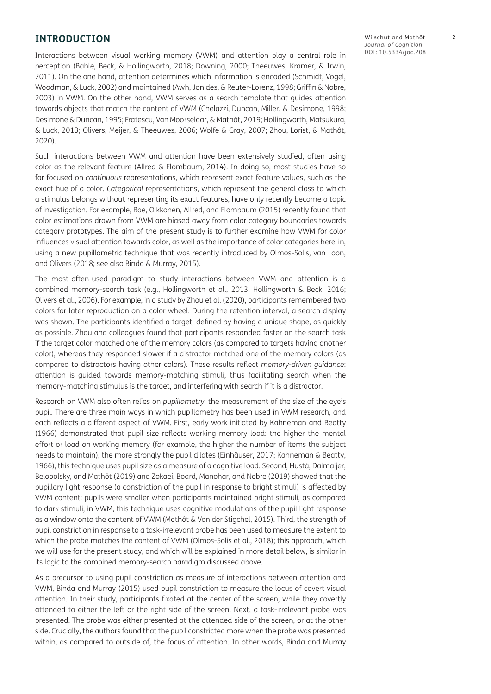#### **INTRODUCTION**

Interactions between visual working memory (VWM) and attention play a central role in perception ([Bahle, Beck, & Hollingworth, 2018;](#page-9-1) [Downing, 2000](#page-10-0); [Theeuwes, Kramer, & Irwin,](#page-10-0)  [2011](#page-10-0)). On the one hand, attention determines which information is encoded ([Schmidt, Vogel,](#page-10-0)  [Woodman, & Luck, 2002](#page-10-0)) and maintained ([Awh, Jonides, & Reuter-Lorenz, 1998;](#page-9-1) [Griffin & Nobre,](#page-10-0)  [2003](#page-10-0)) in VWM. On the other hand, VWM serves as a search template that guides attention towards objects that match the content of VWM [\(Chelazzi, Duncan, Miller, & Desimone, 1998](#page-9-1); [Desimone & Duncan, 1995; Frătescu, Van Moorselaar, & Mathôt, 2019](#page-10-0); [Hollingworth, Matsukura,](#page-10-0)  [& Luck, 2013](#page-10-0); [Olivers, Meijer, & Theeuwes, 2006](#page-10-0); [Wolfe & Gray, 2007;](#page-11-0) [Zhou, Lorist, & Mathôt,](#page-11-0)  [2020](#page-11-0)).

Such interactions between VWM and attention have been extensively studied, often using color as the relevant feature ([Allred & Flombaum, 2014](#page-9-1)). In doing so, most studies have so far focused on *continuous* representations, which represent exact feature values, such as the exact hue of a color. *Categorical* representations, which represent the general class to which a stimulus belongs without representing its exact features, have only recently become a topic of investigation. For example, Bae, Olkkonen, Allred, and Flombaum ([2015](#page-9-1)) recently found that color estimations drawn from VWM are biased away from color category boundaries towards category prototypes. The aim of the present study is to further examine how VWM for color influences visual attention towards color, as well as the importance of color categories here-in, using a new pupillometric technique that was recently introduced by Olmos-Solis, van Loon, and Olivers [\(2018;](#page-10-0) see also [Binda & Murray, 2015](#page-9-1)).

The most-often-used paradigm to study interactions between VWM and attention is a combined memory-search task (e.g., [Hollingworth et al., 2013](#page-10-0); [Hollingworth & Beck, 2016](#page-10-0); [Olivers et al., 2006](#page-10-0)). For example, in a study by Zhou et al. [\(2020\)](#page-11-0), participants remembered two colors for later reproduction on a color wheel. During the retention interval, a search display was shown. The participants identified a target, defined by having a unique shape, as quickly as possible. Zhou and colleagues found that participants responded faster on the search task if the target color matched one of the memory colors (as compared to targets having another color), whereas they responded slower if a distractor matched one of the memory colors (as compared to distractors having other colors). These results reflect *memory-driven guidance*: attention is guided towards memory-matching stimuli, thus facilitating search when the memory-matching stimulus is the target, and interfering with search if it is a distractor.

Research on VWM also often relies on *pupillometry*, the measurement of the size of the eye's pupil. There are three main ways in which pupillometry has been used in VWM research, and each reflects a different aspect of VWM. First, early work initiated by Kahneman and Beatty [\(1966](#page-10-0)) demonstrated that pupil size reflects working memory load: the higher the mental effort or load on working memory (for example, the higher the number of items the subject needs to maintain), the more strongly the pupil dilates ([Einhäuser, 2017;](#page-10-0) [Kahneman & Beatty,](#page-10-0)  [1966](#page-10-0)); this technique uses pupil size as a measure of a cognitive load. Second, Hustá, Dalmaijer, Belopolsky, and Mathôt ([2019](#page-10-0)) and Zokaei, Board, Manohar, and Nobre [\(2019\)](#page-11-0) showed that the pupillary light response (a constriction of the pupil in response to bright stimuli) is affected by VWM content: pupils were smaller when participants maintained bright stimuli, as compared to dark stimuli, in VWM; this technique uses cognitive modulations of the pupil light response as a window onto the content of VWM [\(Mathôt & Van der Stigchel, 2015\)](#page-10-0). Third, the strength of pupil constriction in response to a task-irrelevant probe has been used to measure the extent to which the probe matches the content of VWM ([Olmos-Solis et al., 2018\)](#page-10-0); this approach, which we will use for the present study, and which will be explained in more detail below, is similar in its logic to the combined memory-search paradigm discussed above.

As a precursor to using pupil constriction as measure of interactions between attention and VWM, Binda and Murray [\(2015](#page-9-1)) used pupil constriction to measure the locus of covert visual attention. In their study, participants fixated at the center of the screen, while they covertly attended to either the left or the right side of the screen. Next, a task-irrelevant probe was presented. The probe was either presented at the attended side of the screen, or at the other side. Crucially, the authors found that the pupil constricted more when the probe was presented within, as compared to outside of, the focus of attention. In other words, Binda and Murray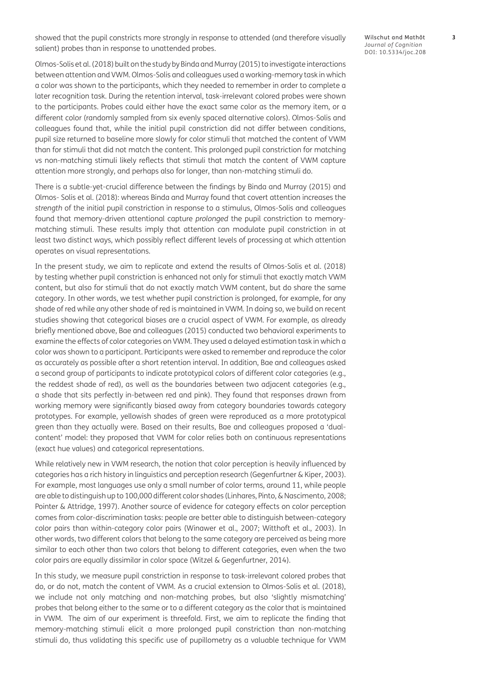showed that the pupil constricts more strongly in response to attended (and therefore visually salient) probes than in response to unattended probes.

Wilschut and Mathôt **3** *Journal of Cognition* DOI: [10.5334/joc.208](https://doi.org/10.5334/joc.208)

Olmos-Solis et al. [\(2018](#page-10-0)) built on the study by Binda and Murray [\(2015\)](#page-9-1) to investigate interactions between attention and VWM. Olmos-Solis and colleagues used a working-memory task in which a color was shown to the participants, which they needed to remember in order to complete a later recognition task. During the retention interval, task-irrelevant colored probes were shown to the participants. Probes could either have the exact same color as the memory item, or a different color (randomly sampled from six evenly spaced alternative colors). Olmos-Solis and colleagues found that, while the initial pupil constriction did not differ between conditions, pupil size returned to baseline more slowly for color stimuli that matched the content of VWM than for stimuli that did not match the content. This prolonged pupil constriction for matching vs non-matching stimuli likely reflects that stimuli that match the content of VWM capture attention more strongly, and perhaps also for longer, than non-matching stimuli do.

There is a subtle-yet-crucial difference between the findings by Binda and Murray ([2015](#page-9-1)) and Olmos- Solis et al. (2018): whereas Binda and Murray found that covert attention increases the *strength* of the initial pupil constriction in response to a stimulus, Olmos-Solis and colleagues found that memory-driven attentional capture *prolonged* the pupil constriction to memorymatching stimuli. These results imply that attention can modulate pupil constriction in at least two distinct ways, which possibly reflect different levels of processing at which attention operates on visual representations.

In the present study, we aim to replicate and extend the results of Olmos-Solis et al. ([2018\)](#page-10-0) by testing whether pupil constriction is enhanced not only for stimuli that exactly match VWM content, but also for stimuli that do not exactly match VWM content, but do share the same category. In other words, we test whether pupil constriction is prolonged, for example, for any shade of red while any other shade of red is maintained in VWM. In doing so, we build on recent studies showing that categorical biases are a crucial aspect of VWM. For example, as already briefly mentioned above, Bae and colleagues ([2015\)](#page-9-1) conducted two behavioral experiments to examine the effects of color categories on VWM. They used a delayed estimation task in which a color was shown to a participant. Participants were asked to remember and reproduce the color as accurately as possible after a short retention interval. In addition, Bae and colleagues asked a second group of participants to indicate prototypical colors of different color categories (e.g., the reddest shade of red), as well as the boundaries between two adjacent categories (e.g., a shade that sits perfectly in-between red and pink). They found that responses drawn from working memory were significantly biased away from category boundaries towards category prototypes. For example, yellowish shades of green were reproduced as a more prototypical green than they actually were. Based on their results, Bae and colleagues proposed a 'dualcontent' model: they proposed that VWM for color relies both on continuous representations (exact hue values) and categorical representations.

While relatively new in VWM research, the notion that color perception is heavily influenced by categories has a rich history in linguistics and perception research [\(Gegenfurtner & Kiper, 2003](#page-10-0)). For example, most languages use only a small number of color terms, around 11, while people are able to distinguish up to 100,000 different color shades ([Linhares, Pinto, & Nascimento, 2008](#page-10-0); [Pointer & Attridge, 1997\)](#page-10-0). Another source of evidence for category effects on color perception comes from color-discrimination tasks: people are better able to distinguish between-category color pairs than within-category color pairs [\(Winawer et al., 2007;](#page-10-0) [Witthoft et al., 2003\)](#page-10-0). In other words, two different colors that belong to the same category are perceived as being more similar to each other than two colors that belong to different categories, even when the two color pairs are equally dissimilar in color space [\(Witzel & Gegenfurtner, 2014\)](#page-11-0).

In this study, we measure pupil constriction in response to task-irrelevant colored probes that do, or do not, match the content of VWM. As a crucial extension to Olmos-Solis et al. ([2018](#page-10-0)), we include not only matching and non-matching probes, but also 'slightly mismatching' probes that belong either to the same or to a different category as the color that is maintained in VWM. The aim of our experiment is threefold. First, we aim to replicate the finding that memory-matching stimuli elicit a more prolonged pupil constriction than non-matching stimuli do, thus validating this specific use of pupillometry as a valuable technique for VWM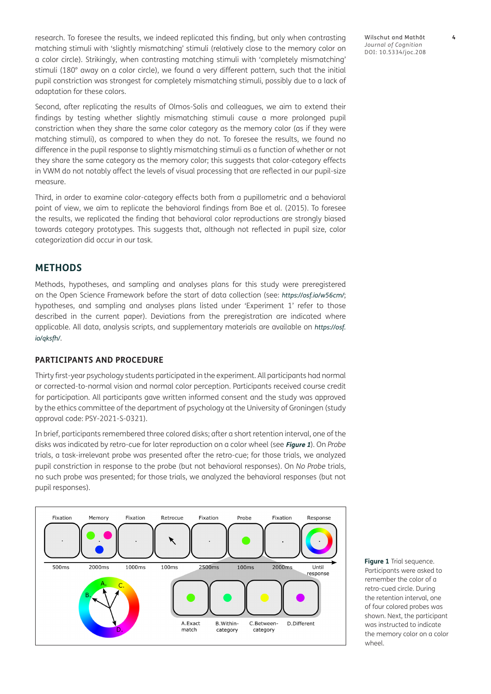research. To foresee the results, we indeed replicated this finding, but only when contrasting matching stimuli with 'slightly mismatching' stimuli (relatively close to the memory color on a color circle). Strikingly, when contrasting matching stimuli with 'completely mismatching' stimuli (180° away on a color circle), we found a very different pattern, such that the initial pupil constriction was strongest for completely mismatching stimuli, possibly due to a lack of adaptation for these colors.

Second, after replicating the results of Olmos-Solis and colleagues, we aim to extend their findings by testing whether slightly mismatching stimuli cause a more prolonged pupil constriction when they share the same color category as the memory color (as if they were matching stimuli), as compared to when they do not. To foresee the results, we found no difference in the pupil response to slightly mismatching stimuli as a function of whether or not they share the same category as the memory color; this suggests that color-category effects in VWM do not notably affect the levels of visual processing that are reflected in our pupil-size measure.

Third, in order to examine color-category effects both from a pupillometric and a behavioral point of view, we aim to replicate the behavioral findings from Bae et al. ([2015](#page-9-1)). To foresee the results, we replicated the finding that behavioral color reproductions are strongly biased towards category prototypes. This suggests that, although not reflected in pupil size, color categorization did occur in our task.

#### **METHODS**

Methods, hypotheses, and sampling and analyses plans for this study were preregistered on the Open Science Framework before the start of data collection (see: *<https://osf.io/w56cm/>*; hypotheses, and sampling and analyses plans listed under 'Experiment 1' refer to those described in the current paper). Deviations from the preregistration are indicated where applicable. All data, analysis scripts, and supplementary materials are available on *[https://osf.](https://osf.io/qksfh/) [io/qksfh/](https://osf.io/qksfh/)*.

#### **PARTICIPANTS AND PROCEDURE**

Thirty first-year psychology students participated in the experiment. All participants had normal or corrected-to-normal vision and normal color perception. Participants received course credit for participation. All participants gave written informed consent and the study was approved by the ethics committee of the department of psychology at the University of Groningen (study approval code: PSY-2021-S-0321).

In brief, participants remembered three colored disks; after a short retention interval, one of the disks was indicated by retro-cue for later reproduction on a color wheel (see **[Figure 1](#page-3-0)**). On *Probe*  trials, a task-irrelevant probe was presented after the retro-cue; for those trials, we analyzed pupil constriction in response to the probe (but not behavioral responses). On *No Probe* trials, no such probe was presented; for those trials, we analyzed the behavioral responses (but not pupil responses).



<span id="page-3-0"></span>**Figure 1** Trial sequence. Participants were asked to remember the color of a retro-cued circle. During the retention interval, one of four colored probes was shown. Next, the participant was instructed to indicate the memory color on a color wheel.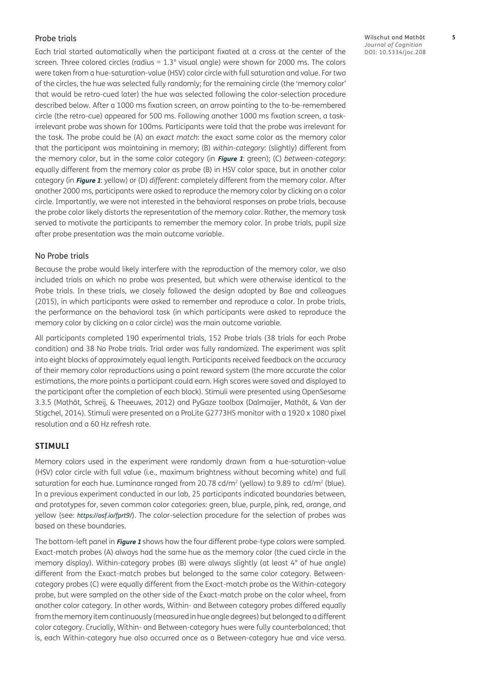#### Probe trials

Each trial started automatically when the participant fixated at a cross at the center of the screen. Three colored circles (radius  $= 1.3^\circ$  visual angle) were shown for 2000 ms. The colors were taken from a hue-saturation-value (HSV) color circle with full saturation and value. For two of the circles, the hue was selected fully randomly; for the remaining circle (the 'memory color' that would be retro-cued later) the hue was selected following the color-selection procedure described below. After a 1000 ms fixation screen, an arrow pointing to the to-be-remembered circle (the retro-cue) appeared for 500 ms. Following another 1000 ms fixation screen, a taskirrelevant probe was shown for 100ms. Participants were told that the probe was irrelevant for the task. The probe could be (A) an *exact match*: the exact same color as the memory color that the participant was maintaining in memory; (B) *within-category*: (slightly) different from the memory color, but in the same color category (in **[Figure 1](#page-3-0)**: green); (C) *between-category*: equally different from the memory color as probe (B) in HSV color space, but in another color category (in **[Figure 1](#page-3-0)**: yellow) or (D) *different*: completely different from the memory color. After another 2000 ms, participants were asked to reproduce the memory color by clicking on a color circle. Importantly, we were not interested in the behavioral responses on probe trials, because the probe color likely distorts the representation of the memory color. Rather, the memory task served to motivate the participants to remember the memory color. In probe trials, pupil size after probe presentation was the main outcome variable.

#### No Probe trials

Because the probe would likely interfere with the reproduction of the memory color, we also included trials on which no probe was presented, but which were otherwise identical to the Probe trials. In these trials, we closely followed the design adopted by Bae and colleagues [\(2015](#page-9-1)), in which participants were asked to remember and reproduce a color. In probe trials, the performance on the behavioral task (in which participants were asked to reproduce the memory color by clicking on a color circle) was the main outcome variable.

All participants completed 190 experimental trials, 152 Probe trials (38 trials for each Probe condition) and 38 No Probe trials. Trial order was fully randomized. The experiment was split into eight blocks of approximately equal length. Participants received feedback on the accuracy of their memory color reproductions using a point reward system (the more accurate the color estimations, the more points a participant could earn. High scores were saved and displayed to the participant after the completion of each block). Stimuli were presented using OpenSesame 3.3.5 [\(Mathôt, Schreij, & Theeuwes, 2012](#page-10-0)) and PyGaze toolbox [\(Dalmaijer, Mathôt, & Van der](#page-9-1)  [Stigchel, 2014](#page-9-1)). Stimuli were presented on a ProLite G2773HS monitor with a 1920 x 1080 pixel resolution and a 60 Hz refresh rate.

#### **STIMULI**

Memory colors used in the experiment were randomly drawn from a hue-saturation-value (HSV) color circle with full value (i.e., maximum brightness without becoming white) and full saturation for each hue. Luminance ranged from 20.78 cd/m<sup>2</sup> (yellow) to 9.89 to cd/m<sup>2</sup> (blue). In a previous experiment conducted in our lab, 25 participants indicated boundaries between, and prototypes for, seven common color categories: green, blue, purple, pink, red, orange, and yellow (see: *<https://osf.io/fprt9/>*). The color-selection procedure for the selection of probes was based on these boundaries.

The bottom-left panel in **[Figure 1](#page-3-0)** shows how the four different probe-type colors were sampled. Exact-match probes (A) always had the same hue as the memory color (the cued circle in the memory display). Within-category probes (B) were always slightly (at least 4° of hue angle) different from the Exact-match probes but belonged to the same color category. Betweencategory probes (C) were equally different from the Exact-match probe as the Within-category probe, but were sampled on the other side of the Exact-match probe on the color wheel, from another color category. In other words, Within- and Between category probes differed equally from the memory item continuously (measured in hue angle degrees) but belonged to a different color category. Crucially, Within- and Between-category hues were fully counterbalanced; that is, each Within-category hue also occurred once as a Between-category hue and vice versa.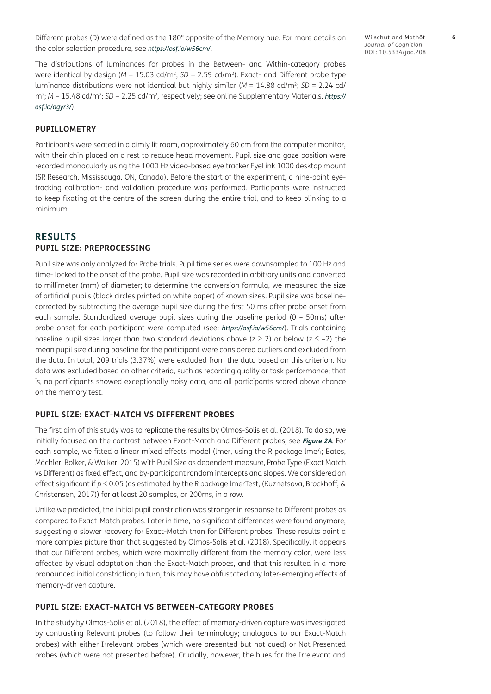Different probes (D) were defined as the 180° opposite of the Memory hue. For more details on the color selection procedure, see *<https://osf.io/w56cm/>*.

The distributions of luminances for probes in the Between- and Within-category probes were identical by design ( $M = 15.03$  cd/m<sup>2</sup>; *SD* = 2.59 cd/m<sup>2</sup>). Exact- and Different probe type luminance distributions were not identical but highly similar (*M* = 14.88 cd/m2; *SD* = 2.24 cd/ m2; *M* = 15.48 cd/m2; *SD* = 2.25 cd/m2, respectively; see online Supplementary Materials, *[https://](https://osf.io/dgyr3/) [osf.io/dgyr3/](https://osf.io/dgyr3/)*).

#### **PUPILLOMETRY**

Participants were seated in a dimly lit room, approximately 60 cm from the computer monitor, with their chin placed on a rest to reduce head movement. Pupil size and gaze position were recorded monocularly using the 1000 Hz video-based eye tracker EyeLink 1000 desktop mount (SR Research, Mississauga, ON, Canada). Before the start of the experiment, a nine-point eyetracking calibration- and validation procedure was performed. Participants were instructed to keep fixating at the centre of the screen during the entire trial, and to keep blinking to a minimum.

#### **RESULTS PUPIL SIZE: PREPROCESSING**

Pupil size was only analyzed for Probe trials. Pupil time series were downsampled to 100 Hz and time- locked to the onset of the probe. Pupil size was recorded in arbitrary units and converted to millimeter (mm) of diameter; to determine the conversion formula, we measured the size of artificial pupils (black circles printed on white paper) of known sizes. Pupil size was baselinecorrected by subtracting the average pupil size during the first 50 ms after probe onset from each sample. Standardized average pupil sizes during the baseline period (0 – 50ms) after probe onset for each participant were computed (see: *<https://osf.io/w56cm/>*). Trials containing baseline pupil sizes larger than two standard deviations above ( $z \ge 2$ ) or below ( $z \le -2$ ) the mean pupil size during baseline for the participant were considered outliers and excluded from the data. In total, 209 trials (3.37%) were excluded from the data based on this criterion. No data was excluded based on other criteria, such as recording quality or task performance; that is, no participants showed exceptionally noisy data, and all participants scored above chance on the memory test.

#### **PUPIL SIZE: EXACT-MATCH VS DIFFERENT PROBES**

The first aim of this study was to replicate the results by Olmos-Solis et al. [\(2018\)](#page-10-0). To do so, we initially focused on the contrast between Exact-Match and Different probes, see **[Figure 2A](#page-6-0)**. For each sample, we fitted a linear mixed effects model (lmer, using the R package lme4; [Bates,](#page-9-1)  [Mächler, Bolker, & Walker, 2015\)](#page-9-1) with Pupil Size as dependent measure, Probe Type (Exact Match vs Different) as fixed effect, and by-participant random intercepts and slopes. We considered an effect significant if *p* < 0.05 (as estimated by the R package lmerTest, ([Kuznetsova, Brockhoff, &](#page-10-0)  [Christensen, 2017\)](#page-10-0)) for at least 20 samples, or 200ms, in a row.

Unlike we predicted, the initial pupil constriction was stronger in response to Different probes as compared to Exact-Match probes. Later in time, no significant differences were found anymore, suggesting a slower recovery for Exact-Match than for Different probes. These results paint a more complex picture than that suggested by Olmos-Solis et al. [\(2018\)](#page-10-0). Specifically, it appears that our Different probes, which were maximally different from the memory color, were less affected by visual adaptation than the Exact-Match probes, and that this resulted in a more pronounced initial constriction; in turn, this may have obfuscated any later-emerging effects of memory-driven capture.

#### **PUPIL SIZE: EXACT-MATCH VS BETWEEN-CATEGORY PROBES**

In the study by Olmos-Solis et al. [\(2018](#page-10-0)), the effect of memory-driven capture was investigated by contrasting Relevant probes (to follow their terminology; analogous to our Exact-Match probes) with either Irrelevant probes (which were presented but not cued) or Not Presented probes (which were not presented before). Crucially, however, the hues for the Irrelevant and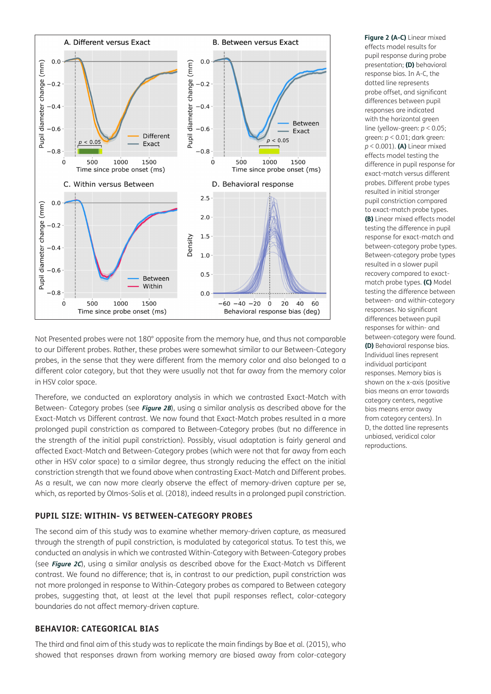

Not Presented probes were not 180° opposite from the memory hue, and thus not comparable to our Different probes. Rather, these probes were somewhat similar to our Between-Category probes, in the sense that they were different from the memory color and also belonged to a different color category, but that they were usually not that far away from the memory color in HSV color space.

Therefore, we conducted an exploratory analysis in which we contrasted Exact-Match with Between- Category probes (see **[Figure 2B](#page-6-0)**), using a similar analysis as described above for the Exact-Match vs Different contrast. We now found that Exact-Match probes resulted in a more prolonged pupil constriction as compared to Between-Category probes (but no difference in the strength of the initial pupil constriction). Possibly, visual adaptation is fairly general and affected Exact-Match and Between-Category probes (which were not that far away from each other in HSV color space) to a similar degree, thus strongly reducing the effect on the initial constriction strength that we found above when contrasting Exact-Match and Different probes. As a result, we can now more clearly observe the effect of memory-driven capture per se, which, as reported by Olmos-Solis et al. ([2018](#page-10-0)), indeed results in a prolonged pupil constriction.

#### **PUPIL SIZE: WITHIN- VS BETWEEN-CATEGORY PROBES**

The second aim of this study was to examine whether memory-driven capture, as measured through the strength of pupil constriction, is modulated by categorical status. To test this, we conducted an analysis in which we contrasted Within-Category with Between-Category probes (see **[Figure 2C](#page-6-0)**), using a similar analysis as described above for the Exact-Match vs Different contrast. We found no difference; that is, in contrast to our prediction, pupil constriction was not more prolonged in response to Within-Category probes as compared to Between category probes, suggesting that, at least at the level that pupil responses reflect, color-category boundaries do not affect memory-driven capture.

#### **BEHAVIOR: CATEGORICAL BIAS**

The third and final aim of this study was to replicate the main findings by Bae et al. [\(2015](#page-9-1)), who showed that responses drawn from working memory are biased away from color-category <span id="page-6-0"></span>**Figure 2 (A-C)** Linear mixed effects model results for pupil response during probe presentation; **(D)** behavioral response bias. In A-C, the dotted line represents probe offset, and significant differences between pupil responses are indicated with the horizontal green line (yellow-green: *p* < 0.05; green: *p* < 0.01; dark green: *p* < 0.001). **(A)** Linear mixed effects model testing the difference in pupil response for exact-match versus different probes. Different probe types resulted in initial stronger pupil constriction compared to exact-match probe types. **(B)** Linear mixed effects model testing the difference in pupil response for exact-match and between-category probe types. Between-category probe types resulted in a slower pupil recovery compared to exactmatch probe types. **(C)** Model testing the difference between between- and within-category responses. No significant differences between pupil responses for within- and between-category were found. **(D)** Behavioral response bias. Individual lines represent individual participant responses. Memory bias is shown on the x-axis (positive bias means an error towards category centers, negative bias means error away from category centers). In D, the dotted line represents unbiased, veridical color reproductions.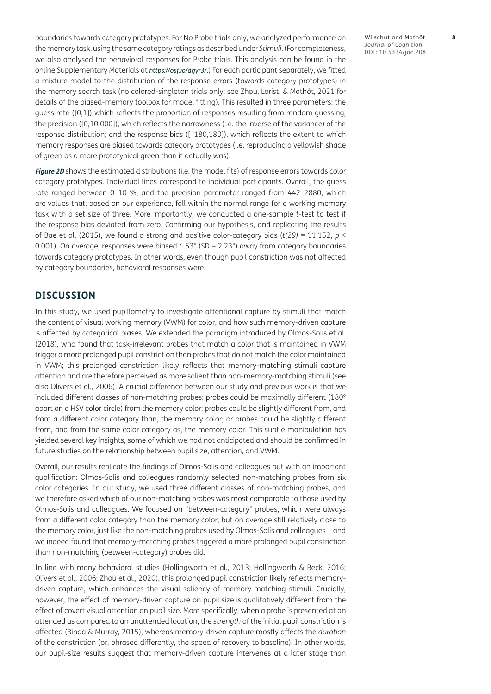boundaries towards category prototypes. For No Probe trials only, we analyzed performance on the memory task, using the same category ratings as described under *Stimuli*. (For completeness, we also analysed the behavioral responses for Probe trials. This analysis can be found in the online Supplementary Materials at *<https://osf.io/dgyr3/>*.) For each participant separately, we fitted a mixture model to the distribution of the response errors (towards category prototypes) in the memory search task (no colored-singleton trials only; see [Zhou, Lorist, & Mathôt, 2021](#page-11-0) for details of the biased-memory toolbox for model fitting). This resulted in three parameters: the guess rate ([0,1]) which reflects the proportion of responses resulting from random guessing; the precision ([0,10.000]), which reflects the narrowness (i.e. the inverse of the variance) of the response distribution; and the response bias ([–180,180]), which reflects the extent to which memory responses are biased towards category prototypes (i.e. reproducing a yellowish shade of green as a more prototypical green than it actually was).

**[Figure 2D](#page-6-0)** shows the estimated distributions (i.e. the model fits) of response errors towards color category prototypes. Individual lines correspond to individual participants. Overall, the guess rate ranged between 0–10 %, and the precision parameter ranged from 442–2880, which are values that, based on our experience, fall within the normal range for a working memory task with a set size of three. More importantly, we conducted a one-sample *t*-test to test if the response bias deviated from zero. Confirming our hypothesis, and replicating the results of Bae et al. ([2015](#page-9-1)), we found a strong and positive color-category bias ( $t(29) = 11.152$ ,  $p <$ 0.001). On average, responses were biased 4.53° (SD = 2.23°) away from category boundaries towards category prototypes. In other words, even though pupil constriction was not affected by category boundaries, behavioral responses were.

#### **DISCUSSION**

In this study, we used pupillometry to investigate attentional capture by stimuli that match the content of visual working memory (VWM) for color, and how such memory-driven capture is affected by categorical biases. We extended the paradigm introduced by Olmos-Solis et al. [\(2018](#page-10-0)), who found that task-irrelevant probes that match a color that is maintained in VWM trigger a more prolonged pupil constriction than probes that do not match the color maintained in VWM; this prolonged constriction likely reflects that memory-matching stimuli capture attention and are therefore perceived as more salient than non-memory-matching stimuli (see also [Olivers et al., 2006\)](#page-10-0). A crucial difference between our study and previous work is that we included different classes of non-matching probes: probes could be maximally different (180° apart on a HSV color circle) from the memory color; probes could be slightly different from, and from a different color category than, the memory color; or probes could be slightly different from, and from the same color category as, the memory color. This subtle manipulation has yielded several key insights, some of which we had not anticipated and should be confirmed in future studies on the relationship between pupil size, attention, and VWM.

Overall, our results replicate the findings of Olmos-Solis and colleagues but with an important qualification: Olmos-Solis and colleagues randomly selected non-matching probes from six color categories. In our study, we used three different classes of non-matching probes, and we therefore asked which of our non-matching probes was most comparable to those used by Olmos-Solis and colleagues. We focused on "between-category" probes, which were always from a different color category than the memory color, but on average still relatively close to the memory color, just like the non-matching probes used by Olmos-Solis and colleagues—and we indeed found that memory-matching probes triggered a more prolonged pupil constriction than non-matching (between-category) probes did.

In line with many behavioral studies [\(Hollingworth et al., 2013](#page-10-0); [Hollingworth & Beck, 2016](#page-10-0); [Olivers et al., 2006;](#page-10-0) [Zhou et al., 2020\)](#page-11-0), this prolonged pupil constriction likely reflects memorydriven capture, which enhances the visual saliency of memory-matching stimuli. Crucially, however, the effect of memory-driven capture on pupil size is qualitatively different from the effect of covert visual attention on pupil size. More specifically, when a probe is presented at an attended as compared to an unattended location, the *strength* of the initial pupil constriction is affected ([Binda & Murray, 2015](#page-9-1)), whereas memory-driven capture mostly affects the *duration*  of the constriction (or, phrased differently, the speed of recovery to baseline). In other words, our pupil-size results suggest that memory-driven capture intervenes at a later stage than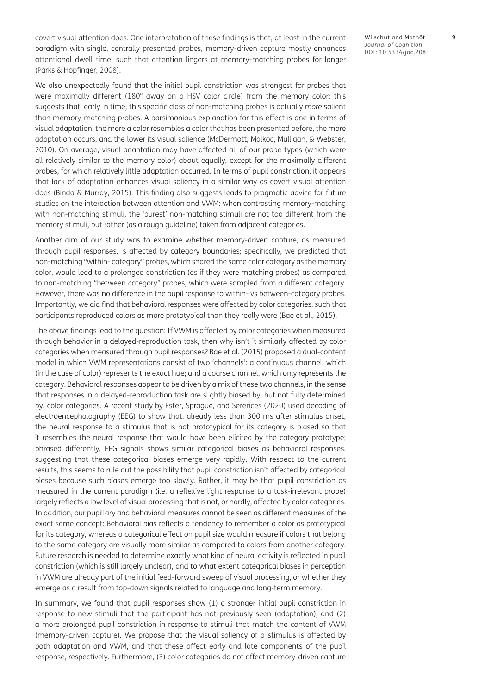covert visual attention does. One interpretation of these findings is that, at least in the current paradigm with single, centrally presented probes, memory-driven capture mostly enhances attentional dwell time, such that attention lingers at memory-matching probes for longer [\(Parks & Hopfinger, 2008\)](#page-10-0).

We also unexpectedly found that the initial pupil constriction was strongest for probes that were maximally different (180° away on a HSV color circle) from the memory color; this suggests that, early in time, this specific class of non-matching probes is actually *more* salient than memory-matching probes. A parsimonious explanation for this effect is one in terms of visual adaptation: the more a color resembles a color that has been presented before, the more adaptation occurs, and the lower its visual salience [\(McDermott, Malkoc, Mulligan, & Webster,](#page-10-0)  [2010](#page-10-0)). On average, visual adaptation may have affected all of our probe types (which were all relatively similar to the memory color) about equally, except for the maximally different probes, for which relatively little adaptation occurred. In terms of pupil constriction, it appears that lack of adaptation enhances visual saliency in a similar way as covert visual attention does ([Binda & Murray, 2015](#page-9-1)). This finding also suggests leads to pragmatic advice for future studies on the interaction between attention and VWM: when contrasting memory-matching with non-matching stimuli, the 'purest' non-matching stimuli are not too different from the memory stimuli, but rather (as a rough guideline) taken from adjacent categories.

Another aim of our study was to examine whether memory-driven capture, as measured through pupil responses, is affected by category boundaries; specifically, we predicted that non-matching "within- category" probes, which shared the same color category as the memory color, would lead to a prolonged constriction (as if they were matching probes) as compared to non-matching "between category" probes, which were sampled from a different category. However, there was no difference in the pupil response to within- vs between-category probes. Importantly, we did find that behavioral responses were affected by color categories, such that participants reproduced colors as more prototypical than they really were ([Bae et al., 2015\)](#page-9-1).

The above findings lead to the question: If VWM is affected by color categories when measured through behavior in a delayed-reproduction task, then why isn't it similarly affected by color categories when measured through pupil responses? Bae et al. [\(2015](#page-9-1)) proposed a dual-content model in which VWM representations consist of two 'channels': a continuous channel, which (in the case of color) represents the exact hue; and a coarse channel, which only represents the category. Behavioral responses appear to be driven by a mix of these two channels, in the sense that responses in a delayed-reproduction task are slightly biased by, but not fully determined by, color categories. A recent study by Ester, Sprague, and Serences [\(2020\)](#page-10-0) used decoding of electroencephalography (EEG) to show that, already less than 300 ms after stimulus onset, the neural response to a stimulus that is not prototypical for its category is biased so that it resembles the neural response that would have been elicited by the category prototype; phrased differently, EEG signals shows similar categorical biases as behavioral responses, suggesting that these categorical biases emerge very rapidly. With respect to the current results, this seems to rule out the possibility that pupil constriction isn't affected by categorical biases because such biases emerge too slowly. Rather, it may be that pupil constriction as measured in the current paradigm (i.e. a reflexive light response to a task-irrelevant probe) largely reflects a low level of visual processing that is not, or hardly, affected by color categories. In addition, our pupillary and behavioral measures cannot be seen as different measures of the exact same concept: Behavioral bias reflects a tendency to remember a color as prototypical for its category, whereas a categorical effect on pupil size would measure if colors that belong to the same category are visually more similar as compared to colors from another category. Future research is needed to determine exactly what kind of neural activity is reflected in pupil constriction (which is still largely unclear), and to what extent categorical biases in perception in VWM are already part of the initial feed-forward sweep of visual processing, or whether they emerge as a result from top-down signals related to language and long-term memory.

In summary, we found that pupil responses show (1) a stronger initial pupil constriction in response to new stimuli that the participant has not previously seen (adaptation), and (2) a more prolonged pupil constriction in response to stimuli that match the content of VWM (memory-driven capture). We propose that the visual saliency of a stimulus is affected by both adaptation and VWM, and that these affect early and late components of the pupil response, respectively. Furthermore, (3) color categories do not affect memory-driven capture Wilschut and Mathôt **9** *Journal of Cognition* DOI: [10.5334/joc.208](https://doi.org/10.5334/joc.208)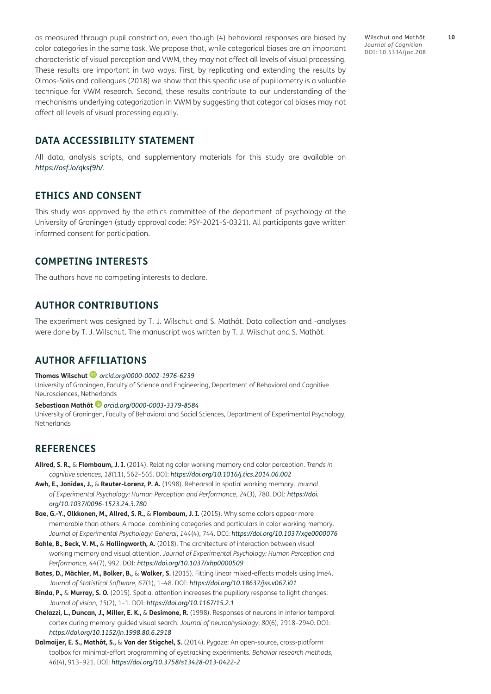<span id="page-9-1"></span>as measured through pupil constriction, even though (4) behavioral responses are biased by color categories in the same task. We propose that, while categorical biases are an important characteristic of visual perception and VWM, they may not affect all levels of visual processing. These results are important in two ways. First, by replicating and extending the results by Olmos-Solis and colleagues [\(2018\)](#page-10-0) we show that this specific use of pupillometry is a valuable technique for VWM research. Second, these results contribute to our understanding of the mechanisms underlying categorization in VWM by suggesting that categorical biases may not affect all levels of visual processing equally.

**DATA ACCESSIBILITY STATEMENT**

All data, analysis scripts, and supplementary materials for this study are available on *<https://osf.io/qksf9h/>*.

#### **ETHICS AND CONSENT**

This study was approved by the ethics committee of the department of psychology at the University of Groningen (study approval code: PSY-2021-S-0321). All participants gave written informed consent for participation.

#### **COMPETING INTERESTS**

The authors have no competing interests to declare.

#### **AUTHOR CONTRIBUTIONS**

The experiment was designed by T. J. Wilschut and S. Mathôt. Data collection and -analyses were done by T. J. Wilschut. The manuscript was written by T. J. Wilschut and S. Mathôt.

#### <span id="page-9-0"></span>**AUTHOR AFFILIATIONS**

**Thomas Wilschut** *[orcid.org/0000-0002-1976-6239](https://orcid.org/0000-0002-1976-6239)*

University of Groningen, Faculty of Science and Engineering, Department of Behavioral and Cognitive Neurosciences, Netherlands

**Sebastiaan Mathôt** *[orcid.org/0000-0003-3379-8584](https://orcid.org/0000-0003-3379-8584)*

University of Groningen, Faculty of Behavioral and Social Sciences, Department of Experimental Psychology, Netherlands

#### **REFERENCES**

- **Allred, S. R.,** & **Flombaum, J. I.** (2014). Relating color working memory and color perception. *Trends in cognitive sciences*, *18*(11), 562–565. DOI: *<https://doi.org/10.1016/j.tics.2014.06.002>*
- **Awh, E., Jonides, J.,** & **Reuter-Lorenz, P. A.** (1998). Rehearsal in spatial working memory. *Journal of Experimental Psychology: Human Perception and Performance*, *24*(3), 780. DOI: *[https://doi.](https://doi.org/10.1037/0096-1523.24.3.780) [org/10.1037/0096-1523.24.3.780](https://doi.org/10.1037/0096-1523.24.3.780)*
- **Bae, G.-Y., Olkkonen, M., Allred, S. R.,** & **Flombaum, J. I.** (2015). Why some colors appear more memorable than others: A model combining categories and particulars in color working memory. *Journal of Experimental Psychology: General*, *144*(4), 744. DOI: *<https://doi.org/10.1037/xge0000076>*
- **Bahle, B., Beck, V. M.,** & **Hollingworth, A.** (2018). The architecture of interaction between visual working memory and visual attention. *Journal of Experimental Psychology: Human Perception and Performance*, *44*(7), 992. DOI: *<https://doi.org/10.1037/xhp0000509>*
- **Bates, D., Mächler, M., Bolker, B.,** & **Walker, S.** (2015). Fitting linear mixed-effects models using lme4. *Journal of Statistical Software*, *67*(1), 1–48. DOI: *<https://doi.org/10.18637/jss.v067.i01>*
- **Binda, P.,** & **Murray, S. O.** (2015). Spatial attention increases the pupillary response to light changes. *Journal of vision*, *15*(2), 1–1. DOI: *<https://doi.org/10.1167/15.2.1>*
- **Chelazzi, L., Duncan, J., Miller, E. K.,** & **Desimone, R.** (1998). Responses of neurons in inferior temporal cortex during memory-guided visual search. *Journal of neurophysiology*, *80*(6), 2918–2940. DOI: *<https://doi.org/10.1152/jn.1998.80.6.2918>*
- **Dalmaijer, E. S., Mathôt, S.,** & **Van der Stigchel, S.** (2014). Pygaze: An open-source, cross-platform toolbox for minimal-effort programming of eyetracking experiments. *Behavior research methods*, *46*(4), 913–921. DOI: *<https://doi.org/10.3758/s13428-013-0422-2>*

Wilschut and Mathôt **10** *Journal of Cognition* DOI: [10.5334/joc.208](https://doi.org/10.5334/joc.208)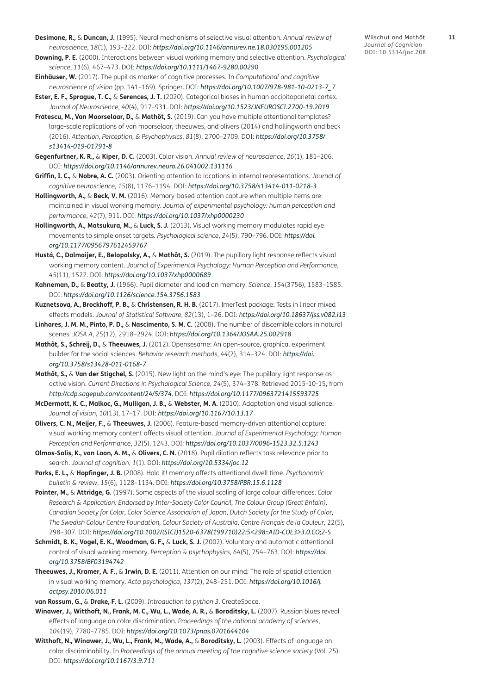- <span id="page-10-0"></span>**Desimone, R.,** & **Duncan, J.** (1995). Neural mechanisms of selective visual attention. *Annual review of neuroscience*, *18*(1), 193–222. DOI: *<https://doi.org/10.1146/annurev.ne.18.030195.001205>*
- **Downing, P. E.** (2000). Interactions between visual working memory and selective attention. *Psychological science*, *11*(6), 467–473. DOI: *<https://doi.org/10.1111/1467-9280.00290>*
- **Einhäuser, W.** (2017). The pupil as marker of cognitive processes. In *Computational and cognitive neuroscience of vision* (pp. 141–169). Springer. DOI: *[https://doi.org/10.1007/978-981-10-0213-7\\_7](https://doi.org/10.1007/978-981-10-0213-7_7)*
- **Ester, E. F., Sprague, T. C.,** & **Serences, J. T.** (2020). Categorical biases in human occipitoparietal cortex. *Journal of Neuroscience*, *40*(4), 917–931. DOI: *<https://doi.org/10.1523/JNEUROSCI.2700-19.2019>*
- **Fra**̆**tescu, M., Van Moorselaar, D.,** & **Mathôt, S.** (2019). Can you have multiple attentional templates? large-scale replications of van moorselaar, theeuwes, and olivers (2014) and hollingworth and beck (2016). *Attention, Perception, & Psychophysics*, *81*(8), 2700–2709. DOI: *[https://doi.org/10.3758/](https://doi.org/10.3758/s13414-019-01791-8) [s13414-019-01791-8](https://doi.org/10.3758/s13414-019-01791-8)*
- **Gegenfurtner, K. R.,** & **Kiper, D. C.** (2003). Color vision. *Annual review of neuroscience*, *26*(1), 181–206. DOI: *<https://doi.org/10.1146/annurev.neuro.26.041002.131116>*
- **Griffin, I. C.,** & **Nobre, A. C.** (2003). Orienting attention to locations in internal representations. *Journal of cognitive neuroscience*, *15*(8), 1176–1194. DOI: *<https://doi.org/10.3758/s13414-011-0218-3>*
- **Hollingworth, A.,** & **Beck, V. M.** (2016). Memory-based attention capture when multiple items are maintained in visual working memory. *Journal of experimental psychology: human perception and performance*, *42*(7), 911. DOI: *<https://doi.org/10.1037/xhp0000230>*
- **Hollingworth, A., Matsukura, M.,** & **Luck, S. J.** (2013). Visual working memory modulates rapid eye movements to simple onset targets. *Psychological science*, *24*(5), 790–796. DOI: *[https://doi.](https://doi.org/10.1177/0956797612459767) [org/10.1177/0956797612459767](https://doi.org/10.1177/0956797612459767)*
- **Hustá, C., Dalmaijer, E., Belopolsky, A.,** & **Mathôt, S.** (2019). The pupillary light response reflects visual working memory content. *Journal of Experimental Psychology: Human Perception and Performance*, *45*(11), 1522. DOI: *<https://doi.org/10.1037/xhp0000689>*
- **Kahneman, D.,** & **Beatty, J.** (1966). Pupil diameter and load on memory. *Science*, *154*(3756), 1583–1585. DOI: *<https://doi.org/10.1126/science.154.3756.1583>*
- **Kuznetsova, A., Brockhoff, P. B.,** & **Christensen, R. H. B.** (2017). lmerTest package: Tests in linear mixed effects models. *Journal of Statistical Software*, *82*(13), 1–26. DOI: *<https://doi.org/10.18637/jss.v082.i13>*
- **Linhares, J. M. M., Pinto, P. D.,** & **Nascimento, S. M. C.** (2008). The number of discernible colors in natural scenes. *JOSA A*, *25*(12), 2918–2924. DOI: *<https://doi.org/10.1364/JOSAA.25.002918>*
- **Mathôt, S., Schreij, D.,** & **Theeuwes, J.** (2012). Opensesame: An open-source, graphical experiment builder for the social sciences. *Behavior research methods*, *44*(2), 314–324. DOI: *[https://doi.](https://doi.org/10.3758/s13428-011-0168-7) [org/10.3758/s13428-011-0168-7](https://doi.org/10.3758/s13428-011-0168-7)*
- **Mathôt, S.,** & **Van der Stigchel, S.** (2015). New light on the mind's eye: The pupillary light response as active vision. *Current Directions in Psychological Science*, *24*(5), 374–378. Retrieved 2015-10-15, from *<http://cdp.sagepub.com/content/24/5/374>*. DOI: *<https://doi.org/10.1177/0963721415593725>*
- **McDermott, K. C., Malkoc, G., Mulligan, J. B.,** & **Webster, M. A.** (2010). Adaptation and visual salience. *Journal of vision*, *10*(13), 17–17. DOI: *<https://doi.org/10.1167/10.13.17>*
- **Olivers, C. N., Meijer, F.,** & **Theeuwes, J.** (2006). Feature-based memory-driven attentional capture: visual working memory content affects visual attention. *Journal of Experimental Psychology: Human Perception and Performance*, *32*(5), 1243. DOI: *<https://doi.org/10.1037/0096-1523.32.5.1243>*
- **Olmos-Solis, K., van Loon, A. M.,** & **Olivers, C. N.** (2018). Pupil dilation reflects task relevance prior to search. *Journal of cognition*, *1*(1). DOI: *<https://doi.org/10.5334/joc.12>*
- **Parks, E. L.,** & **Hopfinger, J. B.** (2008). Hold it! memory affects attentional dwell time. *Psychonomic bulletin & review*, *15*(6), 1128–1134. DOI: *<https://doi.org/10.3758/PBR.15.6.1128>*
- **Pointer, M.,** & **Attridge, G.** (1997). Some aspects of the visual scaling of large colour differences. *Color Research & Application: Endorsed by Inter-Society Color Council, The Colour Group (Great Britain), Canadian Society for Color, Color Science Association of Japan, Dutch Society for the Study of Color, The Swedish Colour Centre Foundation, Colour Society of Australia, Centre Français de la Couleur*, 22(5), 298–307. DOI: *[https://doi.org/10.1002/\(SICI\)1520-6378\(199710\)22:5<298::AID-COL3>3.0.CO;2-S](https://doi.org/10.1002/(SICI)1520-6378(199710)22:5<298::AID-COL3>3.0.CO;2-S)*
- **Schmidt, B. K., Vogel, E. K., Woodman, G. F.,** & **Luck, S. J.** (2002). Voluntary and automatic attentional control of visual working memory. *Perception & psychophysics*, *64*(5), 754–763. DOI: *[https://doi.](https://doi.org/10.3758/BF03194742) [org/10.3758/BF03194742](https://doi.org/10.3758/BF03194742)*
- **Theeuwes, J., Kramer, A. F.,** & **Irwin, D. E.** (2011). Attention on our mind: The role of spatial attention in visual working memory. *Acta psychologica*, *137*(2), 248–251. DOI: *[https://doi.org/10.1016/j.](https://doi.org/10.1016/j.actpsy.2010.06.011) [actpsy.2010.06.011](https://doi.org/10.1016/j.actpsy.2010.06.011)*
- **van Rossum, G.,** & **Drake, F. L.** (2009). *Introduction to python 3.* CreateSpace.
- **Winawer, J., Witthoft, N., Frank, M. C., Wu, L., Wade, A. R.,** & **Boroditsky, L.** (2007). Russian blues reveal effects of language on color discrimination. *Proceedings of the national academy of sciences*, *104*(19), 7780–7785. DOI: *<https://doi.org/10.1073/pnas.0701644104>*
- **Witthoft, N., Winawer, J., Wu, L., Frank, M., Wade, A.,** & **Boroditsky, L.** (2003). Effects of language on color discriminability. In *Proceedings of the annual meeting of the cognitive science society* (Vol. 25). DOI: *<https://doi.org/10.1167/3.9.711>*